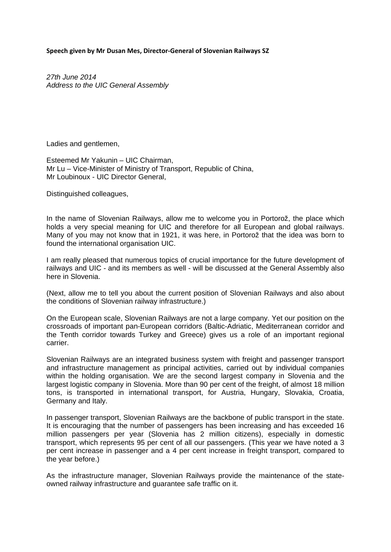**Speech given by Mr Dusan Mes, Director‐General of Slovenian Railways SZ**

*27th June 2014 Address to the UIC General Assembly*

Ladies and gentlemen,

Esteemed Mr Yakunin – UIC Chairman, Mr Lu – Vice-Minister of Ministry of Transport, Republic of China, Mr Loubinoux - UIC Director General,

Distinguished colleagues,

In the name of Slovenian Railways, allow me to welcome you in Portorož, the place which holds a very special meaning for UIC and therefore for all European and global railways. Many of you may not know that in 1921, it was here, in Portorož that the idea was born to found the international organisation UIC.

I am really pleased that numerous topics of crucial importance for the future development of railways and UIC - and its members as well - will be discussed at the General Assembly also here in Slovenia.

(Next, allow me to tell you about the current position of Slovenian Railways and also about the conditions of Slovenian railway infrastructure.)

On the European scale, Slovenian Railways are not a large company. Yet our position on the crossroads of important pan-European corridors (Baltic-Adriatic, Mediterranean corridor and the Tenth corridor towards Turkey and Greece) gives us a role of an important regional carrier.

Slovenian Railways are an integrated business system with freight and passenger transport and infrastructure management as principal activities, carried out by individual companies within the holding organisation. We are the second largest company in Slovenia and the largest logistic company in Slovenia. More than 90 per cent of the freight, of almost 18 million tons, is transported in international transport, for Austria, Hungary, Slovakia, Croatia, Germany and Italy.

In passenger transport, Slovenian Railways are the backbone of public transport in the state. It is encouraging that the number of passengers has been increasing and has exceeded 16 million passengers per year (Slovenia has 2 million citizens), especially in domestic transport, which represents 95 per cent of all our passengers. (This year we have noted a 3 per cent increase in passenger and a 4 per cent increase in freight transport, compared to the year before.)

As the infrastructure manager, Slovenian Railways provide the maintenance of the stateowned railway infrastructure and guarantee safe traffic on it.